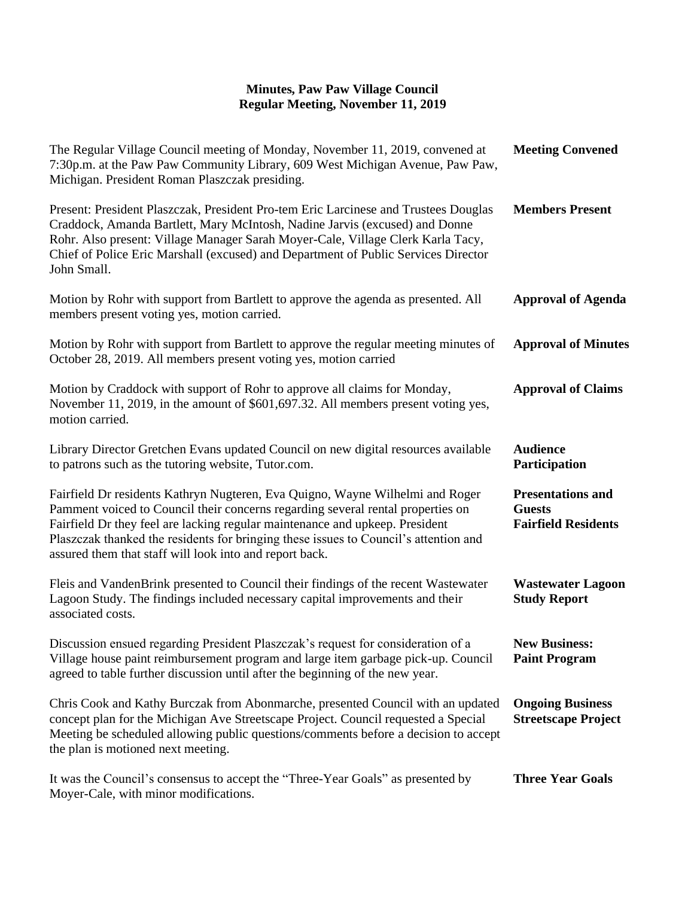## **Minutes, Paw Paw Village Council Regular Meeting, November 11, 2019**

| The Regular Village Council meeting of Monday, November 11, 2019, convened at<br>7:30p.m. at the Paw Paw Community Library, 609 West Michigan Avenue, Paw Paw,<br>Michigan. President Roman Plaszczak presiding.                                                                                                                                                                                    | <b>Meeting Convened</b>                                                 |
|-----------------------------------------------------------------------------------------------------------------------------------------------------------------------------------------------------------------------------------------------------------------------------------------------------------------------------------------------------------------------------------------------------|-------------------------------------------------------------------------|
| Present: President Plaszczak, President Pro-tem Eric Larcinese and Trustees Douglas<br>Craddock, Amanda Bartlett, Mary McIntosh, Nadine Jarvis (excused) and Donne<br>Rohr. Also present: Village Manager Sarah Moyer-Cale, Village Clerk Karla Tacy,<br>Chief of Police Eric Marshall (excused) and Department of Public Services Director<br>John Small.                                          | <b>Members Present</b>                                                  |
| Motion by Rohr with support from Bartlett to approve the agenda as presented. All<br>members present voting yes, motion carried.                                                                                                                                                                                                                                                                    | <b>Approval of Agenda</b>                                               |
| Motion by Rohr with support from Bartlett to approve the regular meeting minutes of<br>October 28, 2019. All members present voting yes, motion carried                                                                                                                                                                                                                                             | <b>Approval of Minutes</b>                                              |
| Motion by Craddock with support of Rohr to approve all claims for Monday,<br>November 11, 2019, in the amount of \$601,697.32. All members present voting yes,<br>motion carried.                                                                                                                                                                                                                   | <b>Approval of Claims</b>                                               |
| Library Director Gretchen Evans updated Council on new digital resources available<br>to patrons such as the tutoring website, Tutor.com.                                                                                                                                                                                                                                                           | <b>Audience</b><br>Participation                                        |
| Fairfield Dr residents Kathryn Nugteren, Eva Quigno, Wayne Wilhelmi and Roger<br>Pamment voiced to Council their concerns regarding several rental properties on<br>Fairfield Dr they feel are lacking regular maintenance and upkeep. President<br>Plaszczak thanked the residents for bringing these issues to Council's attention and<br>assured them that staff will look into and report back. | <b>Presentations and</b><br><b>Guests</b><br><b>Fairfield Residents</b> |
| Fleis and VandenBrink presented to Council their findings of the recent Wastewater<br>Lagoon Study. The findings included necessary capital improvements and their<br>associated costs.                                                                                                                                                                                                             | <b>Wastewater Lagoon</b><br><b>Study Report</b>                         |
| Discussion ensued regarding President Plaszczak's request for consideration of a<br>Village house paint reimbursement program and large item garbage pick-up. Council<br>agreed to table further discussion until after the beginning of the new year.                                                                                                                                              | <b>New Business:</b><br><b>Paint Program</b>                            |
| Chris Cook and Kathy Burczak from Abonmarche, presented Council with an updated<br>concept plan for the Michigan Ave Streetscape Project. Council requested a Special<br>Meeting be scheduled allowing public questions/comments before a decision to accept<br>the plan is motioned next meeting.                                                                                                  | <b>Ongoing Business</b><br><b>Streetscape Project</b>                   |
| It was the Council's consensus to accept the "Three-Year Goals" as presented by<br>Moyer-Cale, with minor modifications.                                                                                                                                                                                                                                                                            | <b>Three Year Goals</b>                                                 |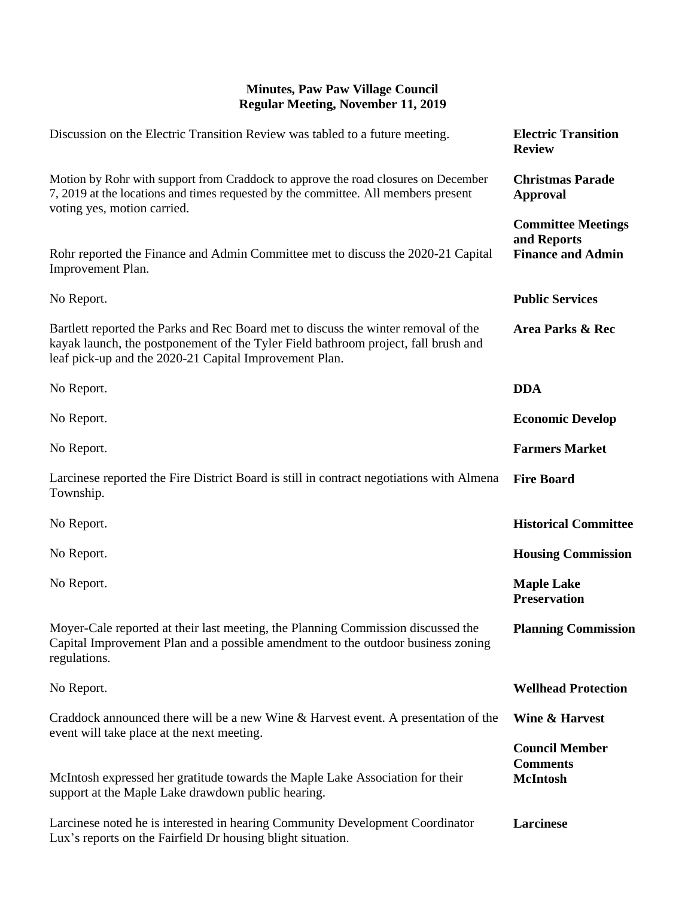## **Minutes, Paw Paw Village Council Regular Meeting, November 11, 2019**

| Discussion on the Electric Transition Review was tabled to a future meeting.                                                                                                                                                       | <b>Electric Transition</b><br><b>Review</b>                          |
|------------------------------------------------------------------------------------------------------------------------------------------------------------------------------------------------------------------------------------|----------------------------------------------------------------------|
| Motion by Rohr with support from Craddock to approve the road closures on December<br>7, 2019 at the locations and times requested by the committee. All members present                                                           | <b>Christmas Parade</b><br><b>Approval</b>                           |
| voting yes, motion carried.<br>Rohr reported the Finance and Admin Committee met to discuss the 2020-21 Capital<br>Improvement Plan.                                                                                               | <b>Committee Meetings</b><br>and Reports<br><b>Finance and Admin</b> |
| No Report.                                                                                                                                                                                                                         | <b>Public Services</b>                                               |
| Bartlett reported the Parks and Rec Board met to discuss the winter removal of the<br>kayak launch, the postponement of the Tyler Field bathroom project, fall brush and<br>leaf pick-up and the 2020-21 Capital Improvement Plan. | <b>Area Parks &amp; Rec</b>                                          |
| No Report.                                                                                                                                                                                                                         | <b>DDA</b>                                                           |
| No Report.                                                                                                                                                                                                                         | <b>Economic Develop</b>                                              |
| No Report.                                                                                                                                                                                                                         | <b>Farmers Market</b>                                                |
| Larcinese reported the Fire District Board is still in contract negotiations with Almena<br>Township.                                                                                                                              | <b>Fire Board</b>                                                    |
| No Report.                                                                                                                                                                                                                         | <b>Historical Committee</b>                                          |
| No Report.                                                                                                                                                                                                                         | <b>Housing Commission</b>                                            |
| No Report.                                                                                                                                                                                                                         | <b>Maple Lake</b><br><b>Preservation</b>                             |
| Moyer-Cale reported at their last meeting, the Planning Commission discussed the<br>Capital Improvement Plan and a possible amendment to the outdoor business zoning<br>regulations.                                               | <b>Planning Commission</b>                                           |
| No Report.                                                                                                                                                                                                                         | <b>Wellhead Protection</b>                                           |
| Craddock announced there will be a new Wine & Harvest event. A presentation of the<br>event will take place at the next meeting.                                                                                                   | <b>Wine &amp; Harvest</b>                                            |
| McIntosh expressed her gratitude towards the Maple Lake Association for their                                                                                                                                                      | <b>Council Member</b><br><b>Comments</b><br><b>McIntosh</b>          |
| support at the Maple Lake drawdown public hearing.<br>Larcinese noted he is interested in hearing Community Development Coordinator<br>Lux's reports on the Fairfield Dr housing blight situation.                                 | Larcinese                                                            |